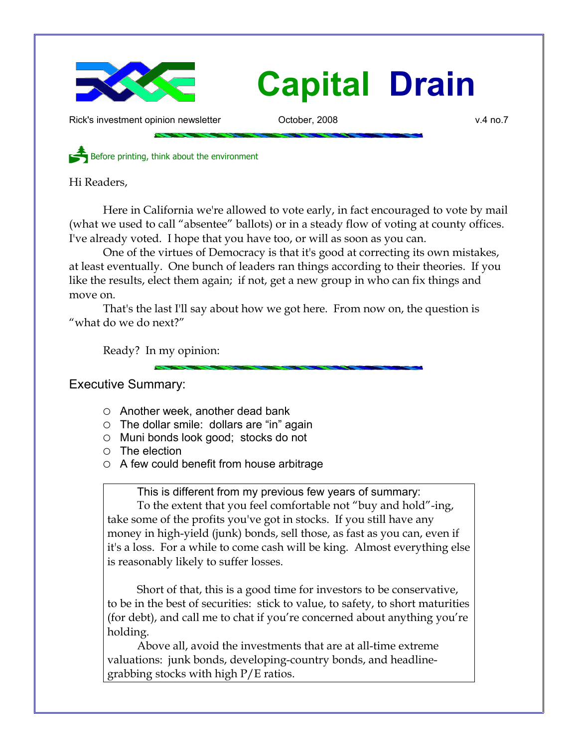

# **Capital Drain**

Rick's investment opinion newsletter October, 2008 v.4 no.7

Before printing, think about the environment

Hi Readers,

Here in California we're allowed to vote early, in fact encouraged to vote by mail (what we used to call "absentee" ballots) or in a steady flow of voting at county offices. I've already voted. I hope that you have too, or will as soon as you can.

One of the virtues of Democracy is that it's good at correcting its own mistakes, at least eventually. One bunch of leaders ran things according to their theories. If you like the results, elect them again; if not, get a new group in who can fix things and move on.

That's the last I'll say about how we got here. From now on, the question is "what do we do next?"

Ready? In my opinion:

Executive Summary:

- Another week, another dead bank
- $\circ$  The dollar smile: dollars are "in" again
- Muni bonds look good; stocks do not
- The election
- $\circ$  A few could benefit from house arbitrage

This is different from my previous few years of summary:

To the extent that you feel comfortable not "buy and hold"-ing, take some of the profits you've got in stocks. If you still have any money in high-yield (junk) bonds, sell those, as fast as you can, even if it's a loss. For a while to come cash will be king. Almost everything else is reasonably likely to suffer losses.

Short of that, this is a good time for investors to be conservative, to be in the best of securities: stick to value, to safety, to short maturities (for debt), and call me to chat if you're concerned about anything you're holding.

Above all, avoid the investments that are at all-time extreme valuations: junk bonds, developing-country bonds, and headlinegrabbing stocks with high P/E ratios.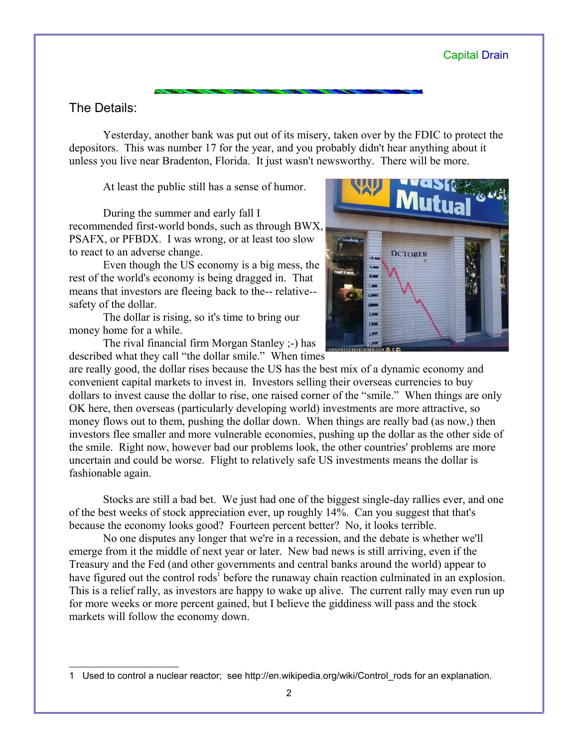#### The Details:

Yesterday, another bank was put out of its misery, taken over by the FDIC to protect the depositors. This was number 17 for the year, and you probably didn't hear anything about it unless you live near Bradenton, Florida. It just wasn't newsworthy. There will be more.

At least the public still has a sense of humor.

During the summer and early fall I recommended first-world bonds, such as through BWX, PSAFX, or PFBDX. I was wrong, or at least too slow to react to an adverse change.

Even though the US economy is a big mess, the rest of the world's economy is being dragged in. That means that investors are fleeing back to the-- relative- safety of the dollar.

The dollar is rising, so it's time to bring our money home for a while.

The rival financial firm Morgan Stanley ;-) has described what they call "the dollar smile." When times



are really good, the dollar rises because the US has the best mix of a dynamic economy and convenient capital markets to invest in. Investors selling their overseas currencies to buy dollars to invest cause the dollar to rise, one raised corner of the "smile." When things are only OK here, then overseas (particularly developing world) investments are more attractive, so money flows out to them, pushing the dollar down. When things are really bad (as now,) then investors flee smaller and more vulnerable economies, pushing up the dollar as the other side of the smile. Right now, however bad our problems look, the other countries' problems are more uncertain and could be worse. Flight to relatively safe US investments means the dollar is fashionable again.

Stocks are still a bad bet. We just had one of the biggest single-day rallies ever, and one of the best weeks of stock appreciation ever, up roughly 14%. Can you suggest that that's because the economy looks good? Fourteen percent better? No, it looks terrible.

No one disputes any longer that we're in a recession, and the debate is whether we'll emerge from it the middle of next year or later. New bad news is still arriving, even if the Treasury and the Fed (and other governments and central banks around the world) appear to have figured out the control rods<sup>[1](#page-1-0)</sup> before the runaway chain reaction culminated in an explosion. This is a relief rally, as investors are happy to wake up alive. The current rally may even run up for more weeks or more percent gained, but I believe the giddiness will pass and the stock markets will follow the economy down.

<span id="page-1-0"></span><sup>1</sup> Used to control a nuclear reactor; see http://en.wikipedia.org/wiki/Control\_rods for an explanation.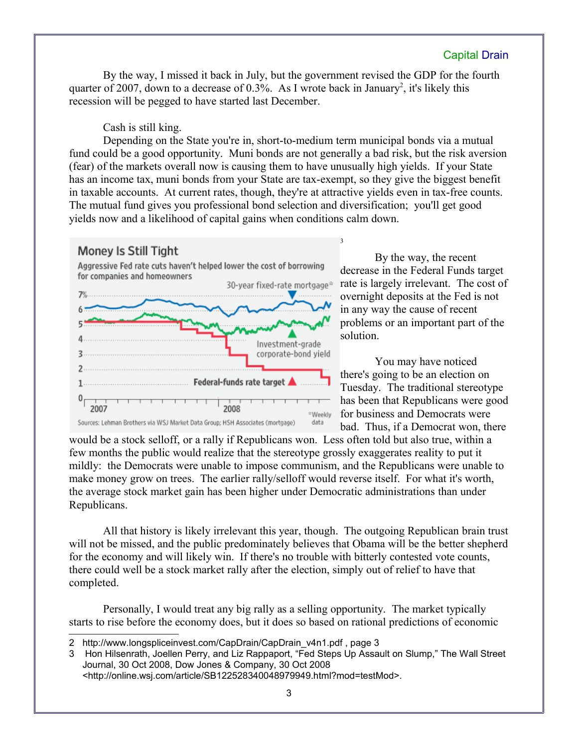#### Capital Drain

By the way, I missed it back in July, but the government revised the GDP for the fourth quarter of [2](#page-2-0)007, down to a decrease of 0.3%. As I wrote back in January<sup>2</sup>, it's likely this recession will be pegged to have started last December.

Cash is still king.

Depending on the State you're in, short-to-medium term municipal bonds via a mutual fund could be a good opportunity. Muni bonds are not generally a bad risk, but the risk aversion (fear) of the markets overall now is causing them to have unusually high yields. If your State has an income tax, muni bonds from your State are tax-exempt, so they give the biggest benefit in taxable accounts. At current rates, though, they're at attractive yields even in tax-free counts. The mutual fund gives you professional bond selection and diversification; you'll get good yields now and a likelihood of capital gains when conditions calm down.

[3](#page-2-1)

#### Money Is Still Tight

Aggressive Fed rate cuts haven't helped lower the cost of borrowing for companies and homeowners



By the way, the recent decrease in the Federal Funds target rate is largely irrelevant. The cost of overnight deposits at the Fed is not in any way the cause of recent problems or an important part of the solution.

You may have noticed there's going to be an election on Tuesday. The traditional stereotype has been that Republicans were good for business and Democrats were bad. Thus, if a Democrat won, there

would be a stock selloff, or a rally if Republicans won. Less often told but also true, within a few months the public would realize that the stereotype grossly exaggerates reality to put it mildly: the Democrats were unable to impose communism, and the Republicans were unable to make money grow on trees. The earlier rally/selloff would reverse itself. For what it's worth, the average stock market gain has been higher under Democratic administrations than under Republicans.

All that history is likely irrelevant this year, though. The outgoing Republican brain trust will not be missed, and the public predominately believes that Obama will be the better shepherd for the economy and will likely win. If there's no trouble with bitterly contested vote counts, there could well be a stock market rally after the election, simply out of relief to have that completed.

Personally, I would treat any big rally as a selling opportunity. The market typically starts to rise before the economy does, but it does so based on rational predictions of economic

<span id="page-2-0"></span><sup>2</sup> http://www.longspliceinvest.com/CapDrain/CapDrain\_v4n1.pdf , page 3

<span id="page-2-1"></span><sup>3</sup> Hon Hilsenrath, Joellen Perry, and Liz Rappaport, "Fed Steps Up Assault on Slump," The Wall Street Journal, 30 Oct 2008, Dow Jones & Company, 30 Oct 2008 <http://online.wsj.com/article/SB122528340048979949.html?mod=testMod>.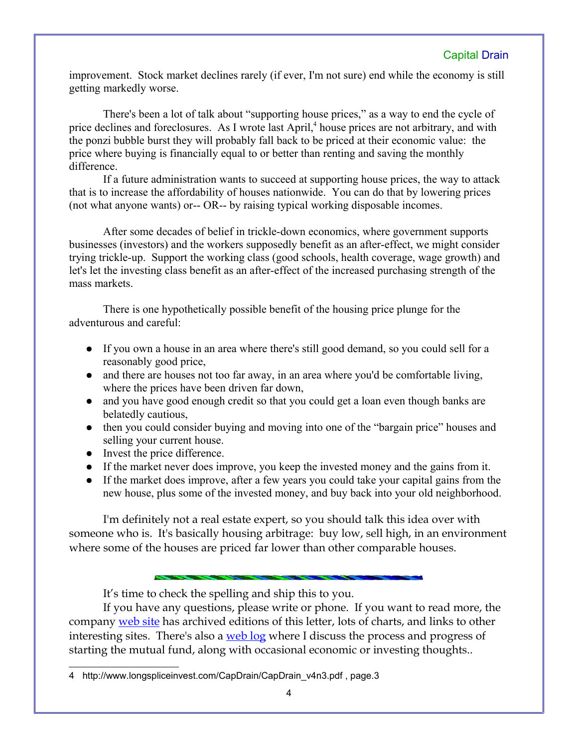### Capital Drain

improvement. Stock market declines rarely (if ever, I'm not sure) end while the economy is still getting markedly worse.

There's been a lot of talk about "supporting house prices," as a way to end the cycle of price declines and foreclosures. As I wrote last April,<sup>[4](#page-3-0)</sup> house prices are not arbitrary, and with the ponzi bubble burst they will probably fall back to be priced at their economic value: the price where buying is financially equal to or better than renting and saving the monthly difference.

If a future administration wants to succeed at supporting house prices, the way to attack that is to increase the affordability of houses nationwide. You can do that by lowering prices (not what anyone wants) or-- OR-- by raising typical working disposable incomes.

After some decades of belief in trickle-down economics, where government supports businesses (investors) and the workers supposedly benefit as an after-effect, we might consider trying trickle-up. Support the working class (good schools, health coverage, wage growth) and let's let the investing class benefit as an after-effect of the increased purchasing strength of the mass markets.

There is one hypothetically possible benefit of the housing price plunge for the adventurous and careful:

- If you own a house in an area where there's still good demand, so you could sell for a reasonably good price,
- and there are houses not too far away, in an area where you'd be comfortable living, where the prices have been driven far down,
- and you have good enough credit so that you could get a loan even though banks are belatedly cautious,
- then you could consider buying and moving into one of the "bargain price" houses and selling your current house.
- Invest the price difference.
- If the market never does improve, you keep the invested money and the gains from it.
- If the market does improve, after a few years you could take your capital gains from the new house, plus some of the invested money, and buy back into your old neighborhood.

I'm definitely not a real estate expert, so you should talk this idea over with someone who is. It's basically housing arbitrage: buy low, sell high, in an environment where some of the houses are priced far lower than other comparable houses.

It's time to check the spelling and ship this to you.

If you have any questions, please write or phone. If you want to read more, the company [web site](http://www.LongspliceInvest.com/newsletter.shtml) has archived editions of this letter, lots of charts, and links to other interesting sites. There's also a [web log](http://www.LongspliceInvestments.com/ricksblog) where I discuss the process and progress of starting the mutual fund, along with occasional economic or investing thoughts..

<span id="page-3-0"></span><sup>4</sup> http://www.longspliceinvest.com/CapDrain/CapDrain\_v4n3.pdf, page.3